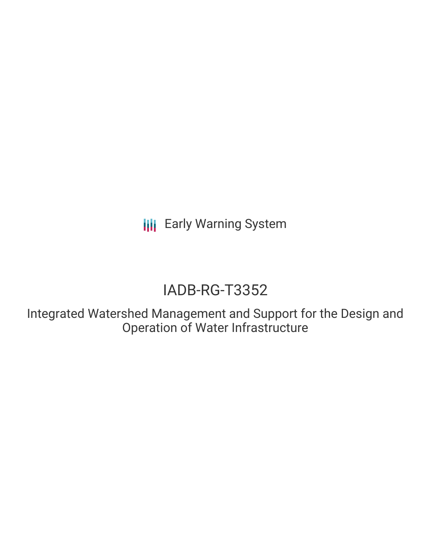**III** Early Warning System

# IADB-RG-T3352

Integrated Watershed Management and Support for the Design and Operation of Water Infrastructure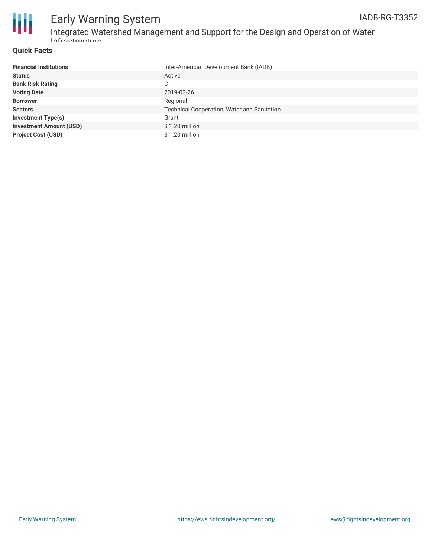

### Early Warning System Integrated Watershed Management and Support for the Design and Operation of Water Infrastructure

#### **Quick Facts**

| <b>Financial Institutions</b>  | Inter-American Development Bank (IADB)             |
|--------------------------------|----------------------------------------------------|
| <b>Status</b>                  | Active                                             |
| <b>Bank Risk Rating</b>        | C                                                  |
| <b>Voting Date</b>             | 2019-03-26                                         |
| <b>Borrower</b>                | Regional                                           |
| <b>Sectors</b>                 | <b>Technical Cooperation, Water and Sanitation</b> |
| <b>Investment Type(s)</b>      | Grant                                              |
| <b>Investment Amount (USD)</b> | \$1.20 million                                     |
| <b>Project Cost (USD)</b>      | $$1.20$ million                                    |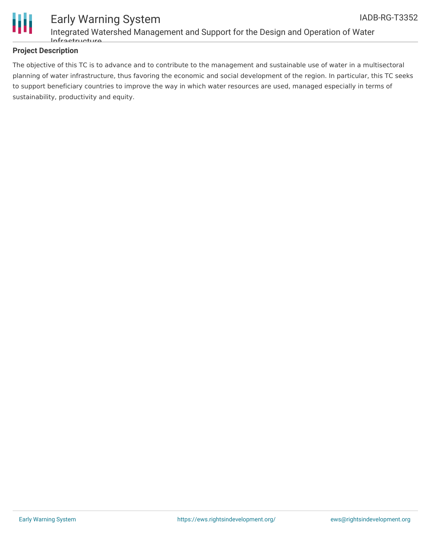

Ш

### Early Warning System Integrated Watershed Management and Support for the Design and Operation of Water Infrastructure

#### **Project Description**

The objective of this TC is to advance and to contribute to the management and sustainable use of water in a multisectoral planning of water infrastructure, thus favoring the economic and social development of the region. In particular, this TC seeks to support beneficiary countries to improve the way in which water resources are used, managed especially in terms of sustainability, productivity and equity.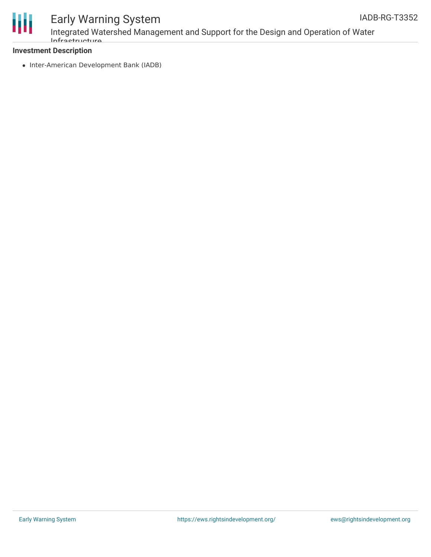



# Early Warning System

Integrated Watershed Management and Support for the Design and Operation of Water Infrastructure

#### **Investment Description**

• Inter-American Development Bank (IADB)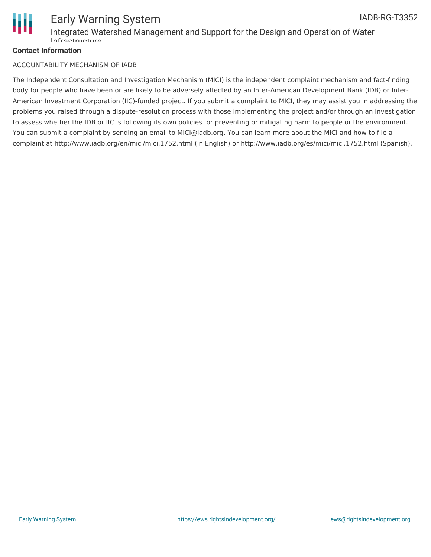

#### **Contact Information**

#### ACCOUNTABILITY MECHANISM OF IADB

The Independent Consultation and Investigation Mechanism (MICI) is the independent complaint mechanism and fact-finding body for people who have been or are likely to be adversely affected by an Inter-American Development Bank (IDB) or Inter-American Investment Corporation (IIC)-funded project. If you submit a complaint to MICI, they may assist you in addressing the problems you raised through a dispute-resolution process with those implementing the project and/or through an investigation to assess whether the IDB or IIC is following its own policies for preventing or mitigating harm to people or the environment. You can submit a complaint by sending an email to MICI@iadb.org. You can learn more about the MICI and how to file a complaint at http://www.iadb.org/en/mici/mici,1752.html (in English) or http://www.iadb.org/es/mici/mici,1752.html (Spanish).